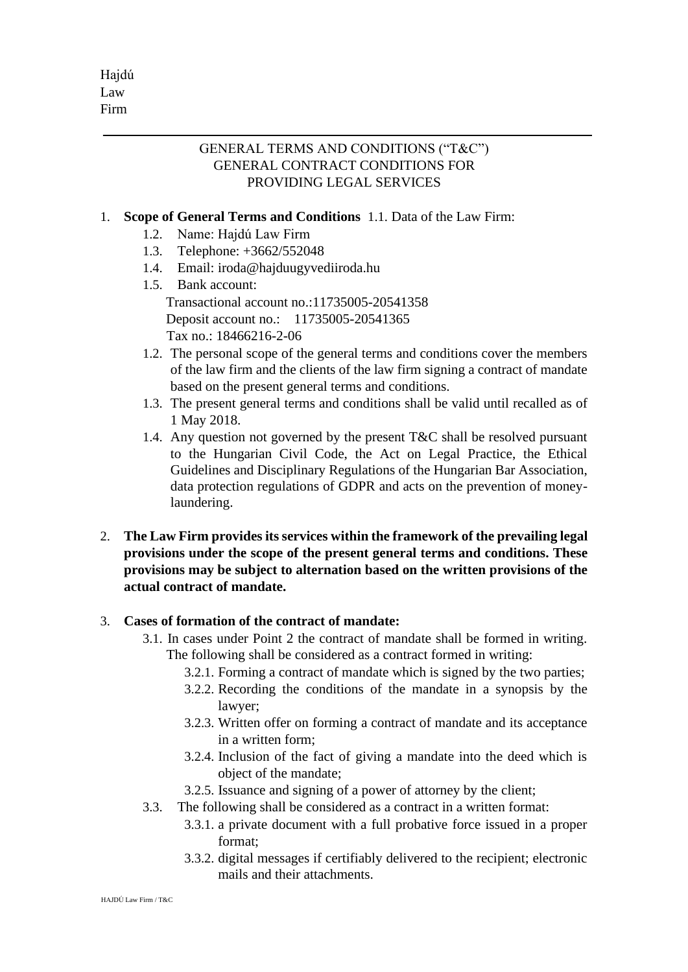## GENERAL TERMS AND CONDITIONS ("T&C") GENERAL CONTRACT CONDITIONS FOR PROVIDING LEGAL SERVICES

# 1. **Scope of General Terms and Conditions** 1.1. Data of the Law Firm:

- 1.2. Name: Hajdú Law Firm
- 1.3. Telephone: +3662/552048
- 1.4. Email: iroda@hajduugyvediiroda.hu
- 1.5. Bank account: Transactional account no.:11735005-20541358 Deposit account no.: 11735005-20541365 Tax no.: 18466216-2-06
- 1.2. The personal scope of the general terms and conditions cover the members of the law firm and the clients of the law firm signing a contract of mandate based on the present general terms and conditions.
- 1.3. The present general terms and conditions shall be valid until recalled as of 1 May 2018.
- 1.4. Any question not governed by the present  $T\&C$  shall be resolved pursuant to the Hungarian Civil Code, the Act on Legal Practice, the Ethical Guidelines and Disciplinary Regulations of the Hungarian Bar Association, data protection regulations of GDPR and acts on the prevention of moneylaundering.
- 2. **The Law Firm provides its services within the framework of the prevailing legal provisions under the scope of the present general terms and conditions. These provisions may be subject to alternation based on the written provisions of the actual contract of mandate.**

## 3. **Cases of formation of the contract of mandate:**

- 3.1. In cases under Point 2 the contract of mandate shall be formed in writing. The following shall be considered as a contract formed in writing:
	- 3.2.1. Forming a contract of mandate which is signed by the two parties;
	- 3.2.2. Recording the conditions of the mandate in a synopsis by the lawyer;
	- 3.2.3. Written offer on forming a contract of mandate and its acceptance in a written form;
	- 3.2.4. Inclusion of the fact of giving a mandate into the deed which is object of the mandate;
	- 3.2.5. Issuance and signing of a power of attorney by the client;
- 3.3. The following shall be considered as a contract in a written format:
	- 3.3.1. a private document with a full probative force issued in a proper format;
	- 3.3.2. digital messages if certifiably delivered to the recipient; electronic mails and their attachments.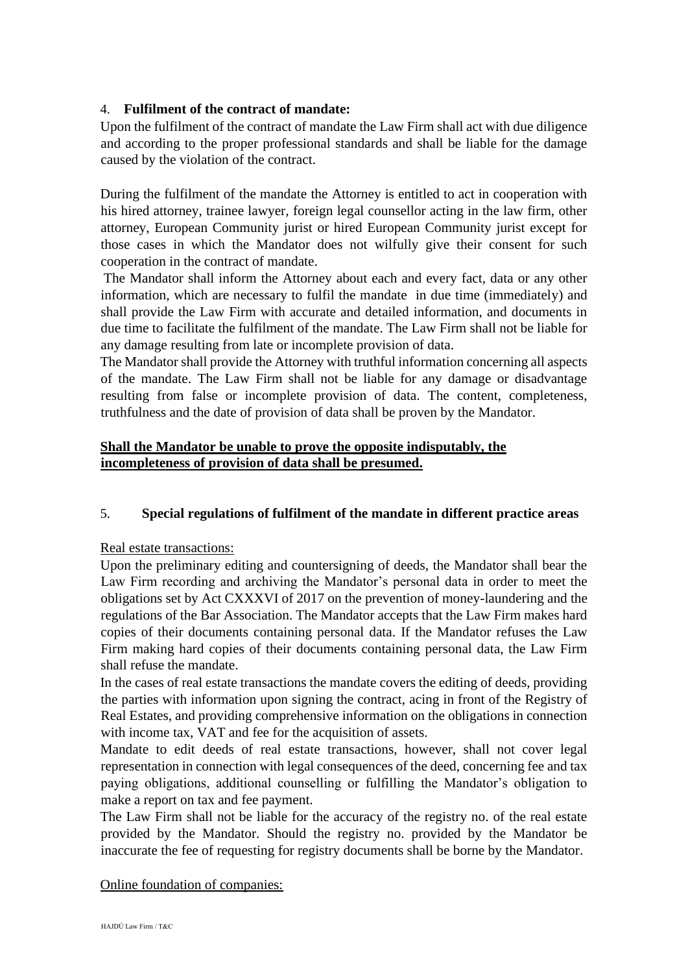## 4. **Fulfilment of the contract of mandate:**

Upon the fulfilment of the contract of mandate the Law Firm shall act with due diligence and according to the proper professional standards and shall be liable for the damage caused by the violation of the contract.

During the fulfilment of the mandate the Attorney is entitled to act in cooperation with his hired attorney, trainee lawyer, foreign legal counsellor acting in the law firm, other attorney, European Community jurist or hired European Community jurist except for those cases in which the Mandator does not wilfully give their consent for such cooperation in the contract of mandate.

The Mandator shall inform the Attorney about each and every fact, data or any other information, which are necessary to fulfil the mandate in due time (immediately) and shall provide the Law Firm with accurate and detailed information, and documents in due time to facilitate the fulfilment of the mandate. The Law Firm shall not be liable for any damage resulting from late or incomplete provision of data.

The Mandator shall provide the Attorney with truthful information concerning all aspects of the mandate. The Law Firm shall not be liable for any damage or disadvantage resulting from false or incomplete provision of data. The content, completeness, truthfulness and the date of provision of data shall be proven by the Mandator.

## **Shall the Mandator be unable to prove the opposite indisputably, the incompleteness of provision of data shall be presumed.**

## 5. **Special regulations of fulfilment of the mandate in different practice areas**

Real estate transactions:

Upon the preliminary editing and countersigning of deeds, the Mandator shall bear the Law Firm recording and archiving the Mandator's personal data in order to meet the obligations set by Act CXXXVI of 2017 on the prevention of money-laundering and the regulations of the Bar Association. The Mandator accepts that the Law Firm makes hard copies of their documents containing personal data. If the Mandator refuses the Law Firm making hard copies of their documents containing personal data, the Law Firm shall refuse the mandate.

In the cases of real estate transactions the mandate covers the editing of deeds, providing the parties with information upon signing the contract, acing in front of the Registry of Real Estates, and providing comprehensive information on the obligations in connection with income tax, VAT and fee for the acquisition of assets.

Mandate to edit deeds of real estate transactions, however, shall not cover legal representation in connection with legal consequences of the deed, concerning fee and tax paying obligations, additional counselling or fulfilling the Mandator's obligation to make a report on tax and fee payment.

The Law Firm shall not be liable for the accuracy of the registry no. of the real estate provided by the Mandator. Should the registry no. provided by the Mandator be inaccurate the fee of requesting for registry documents shall be borne by the Mandator.

#### Online foundation of companies: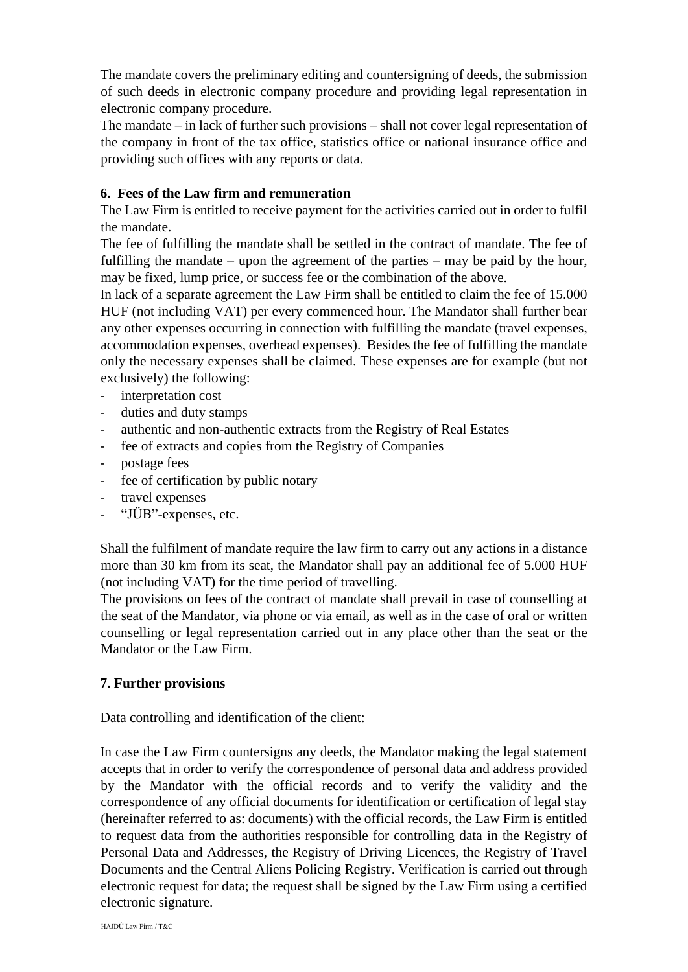The mandate covers the preliminary editing and countersigning of deeds, the submission of such deeds in electronic company procedure and providing legal representation in electronic company procedure.

The mandate – in lack of further such provisions – shall not cover legal representation of the company in front of the tax office, statistics office or national insurance office and providing such offices with any reports or data.

## **6. Fees of the Law firm and remuneration**

The Law Firm is entitled to receive payment for the activities carried out in order to fulfil the mandate.

The fee of fulfilling the mandate shall be settled in the contract of mandate. The fee of fulfilling the mandate – upon the agreement of the parties – may be paid by the hour, may be fixed, lump price, or success fee or the combination of the above.

In lack of a separate agreement the Law Firm shall be entitled to claim the fee of 15.000 HUF (not including VAT) per every commenced hour. The Mandator shall further bear any other expenses occurring in connection with fulfilling the mandate (travel expenses, accommodation expenses, overhead expenses). Besides the fee of fulfilling the mandate only the necessary expenses shall be claimed. These expenses are for example (but not exclusively) the following:

- interpretation cost
- duties and duty stamps
- authentic and non-authentic extracts from the Registry of Real Estates
- fee of extracts and copies from the Registry of Companies
- postage fees
- fee of certification by public notary
- travel expenses
- "JÜB"-expenses, etc.

Shall the fulfilment of mandate require the law firm to carry out any actions in a distance more than 30 km from its seat, the Mandator shall pay an additional fee of 5.000 HUF (not including VAT) for the time period of travelling.

The provisions on fees of the contract of mandate shall prevail in case of counselling at the seat of the Mandator, via phone or via email, as well as in the case of oral or written counselling or legal representation carried out in any place other than the seat or the Mandator or the Law Firm.

## **7. Further provisions**

Data controlling and identification of the client:

In case the Law Firm countersigns any deeds, the Mandator making the legal statement accepts that in order to verify the correspondence of personal data and address provided by the Mandator with the official records and to verify the validity and the correspondence of any official documents for identification or certification of legal stay (hereinafter referred to as: documents) with the official records, the Law Firm is entitled to request data from the authorities responsible for controlling data in the Registry of Personal Data and Addresses, the Registry of Driving Licences, the Registry of Travel Documents and the Central Aliens Policing Registry. Verification is carried out through electronic request for data; the request shall be signed by the Law Firm using a certified electronic signature.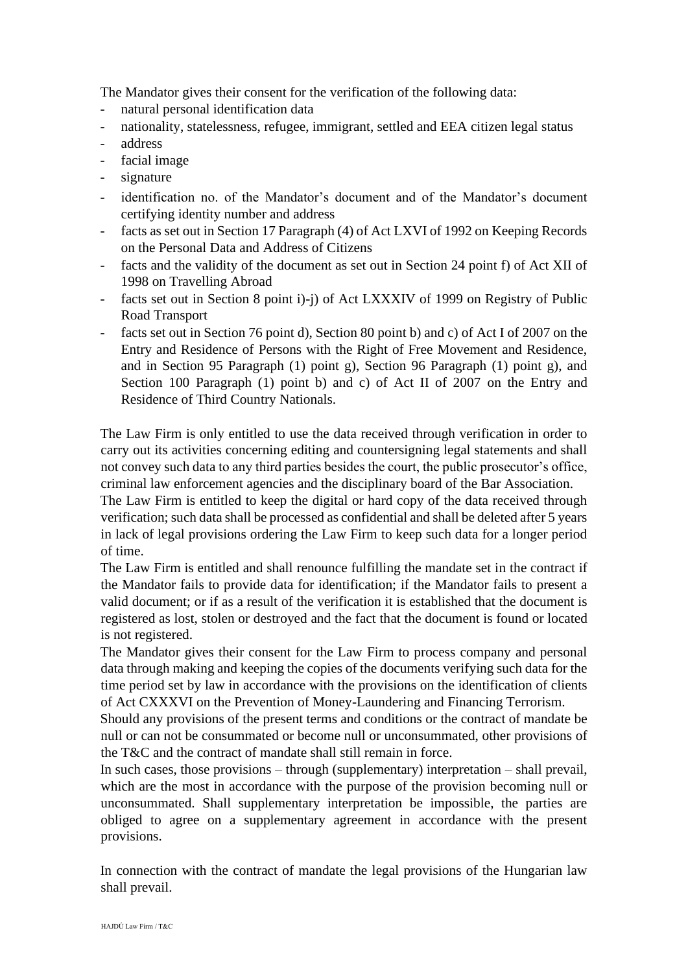The Mandator gives their consent for the verification of the following data:

- natural personal identification data
- nationality, statelessness, refugee, immigrant, settled and EEA citizen legal status
- address
- facial image
- signature
- identification no. of the Mandator's document and of the Mandator's document certifying identity number and address
- facts as set out in Section 17 Paragraph (4) of Act LXVI of 1992 on Keeping Records on the Personal Data and Address of Citizens
- facts and the validity of the document as set out in Section 24 point f) of Act XII of 1998 on Travelling Abroad
- facts set out in Section 8 point i)-j) of Act LXXXIV of 1999 on Registry of Public Road Transport
- facts set out in Section 76 point d), Section 80 point b) and c) of Act I of 2007 on the Entry and Residence of Persons with the Right of Free Movement and Residence, and in Section 95 Paragraph (1) point g), Section 96 Paragraph (1) point g), and Section 100 Paragraph (1) point b) and c) of Act II of 2007 on the Entry and Residence of Third Country Nationals.

The Law Firm is only entitled to use the data received through verification in order to carry out its activities concerning editing and countersigning legal statements and shall not convey such data to any third parties besides the court, the public prosecutor's office, criminal law enforcement agencies and the disciplinary board of the Bar Association.

The Law Firm is entitled to keep the digital or hard copy of the data received through verification; such data shall be processed as confidential and shall be deleted after 5 years in lack of legal provisions ordering the Law Firm to keep such data for a longer period of time.

The Law Firm is entitled and shall renounce fulfilling the mandate set in the contract if the Mandator fails to provide data for identification; if the Mandator fails to present a valid document; or if as a result of the verification it is established that the document is registered as lost, stolen or destroyed and the fact that the document is found or located is not registered.

The Mandator gives their consent for the Law Firm to process company and personal data through making and keeping the copies of the documents verifying such data for the time period set by law in accordance with the provisions on the identification of clients of Act CXXXVI on the Prevention of Money-Laundering and Financing Terrorism.

Should any provisions of the present terms and conditions or the contract of mandate be null or can not be consummated or become null or unconsummated, other provisions of the T&C and the contract of mandate shall still remain in force.

In such cases, those provisions – through (supplementary) interpretation – shall prevail, which are the most in accordance with the purpose of the provision becoming null or unconsummated. Shall supplementary interpretation be impossible, the parties are obliged to agree on a supplementary agreement in accordance with the present provisions.

In connection with the contract of mandate the legal provisions of the Hungarian law shall prevail.